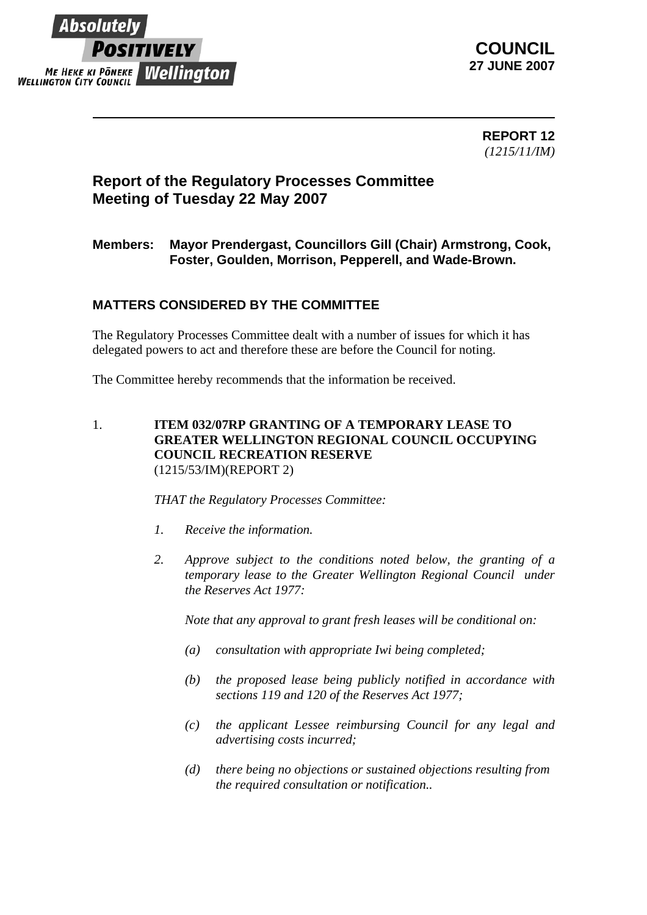

**COUNCIL 27 JUNE 2007**

> **REPORT 12** *(1215/11/IM)*

## **Report of the Regulatory Processes Committee Meeting of Tuesday 22 May 2007**

## **Members: Mayor Prendergast, Councillors Gill (Chair) Armstrong, Cook, Foster, Goulden, Morrison, Pepperell, and Wade-Brown.**

## **MATTERS CONSIDERED BY THE COMMITTEE**

The Regulatory Processes Committee dealt with a number of issues for which it has delegated powers to act and therefore these are before the Council for noting.

The Committee hereby recommends that the information be received.

1. **ITEM 032/07RP GRANTING OF A TEMPORARY LEASE TO GREATER WELLINGTON REGIONAL COUNCIL OCCUPYING COUNCIL RECREATION RESERVE** (1215/53/IM)(REPORT 2)

*THAT the Regulatory Processes Committee:* 

- *1. Receive the information.*
- *2. Approve subject to the conditions noted below, the granting of a temporary lease to the Greater Wellington Regional Council under the Reserves Act 1977:*

*Note that any approval to grant fresh leases will be conditional on:* 

- *(a) consultation with appropriate Iwi being completed;*
- *(b) the proposed lease being publicly notified in accordance with sections 119 and 120 of the Reserves Act 1977;*
- *(c) the applicant Lessee reimbursing Council for any legal and advertising costs incurred;*
- *(d) there being no objections or sustained objections resulting from the required consultation or notification..*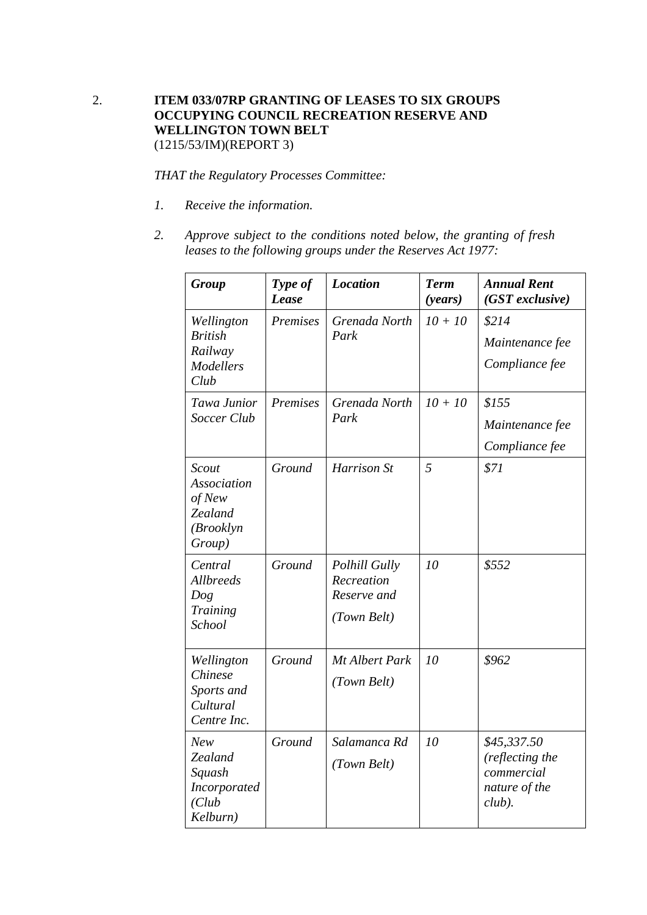## 2. **ITEM 033/07RP GRANTING OF LEASES TO SIX GROUPS OCCUPYING COUNCIL RECREATION RESERVE AND WELLINGTON TOWN BELT**  (1215/53/IM)(REPORT 3)

*THAT the Regulatory Processes Committee:* 

- *1. Receive the information.*
- *2. Approve subject to the conditions noted below, the granting of fresh leases to the following groups under the Reserves Act 1977:*

| <b>Group</b>                                                                    | Type of<br>Lease | <b>Location</b>                                                  | <b>Term</b><br>( <i>years</i> ) | <b>Annual Rent</b><br>$(GST$ exclusive)                                    |
|---------------------------------------------------------------------------------|------------------|------------------------------------------------------------------|---------------------------------|----------------------------------------------------------------------------|
| Wellington<br><b>British</b><br>Railway<br><b>Modellers</b><br>Club             | Premises         | Grenada North<br>Park                                            | $10 + 10$                       | \$214<br>Maintenance fee<br>Compliance fee                                 |
| Tawa Junior<br>Soccer Club                                                      | Premises         | Grenada North<br>Park                                            | $10 + 10$                       | \$155<br>Maintenance fee<br>Compliance fee                                 |
| <b>Scout</b><br><b>Association</b><br>of New<br>Zealand<br>(Brooklyn)<br>Group) | Ground           | Harrison St                                                      | 5                               | \$71                                                                       |
| Central<br><b>Allbreeds</b><br>Dog<br><b>Training</b><br>School                 | Ground           | <b>Polhill Gully</b><br>Recreation<br>Reserve and<br>(Town Belt) | 10                              | \$552                                                                      |
| Wellington<br>Chinese<br>Sports and<br>Cultural<br>Centre Inc.                  | Ground           | Mt Albert Park<br>(Town Belt)                                    | 10                              | \$962                                                                      |
| <b>New</b><br>Zealand<br>Squash<br>Incorporated<br>(Club<br>Kelburn)            | Ground           | Salamanca Rd<br>(Town Belt)                                      | 10                              | \$45,337.50<br>(reflecting the<br>commercial<br>nature of the<br>$club$ ). |